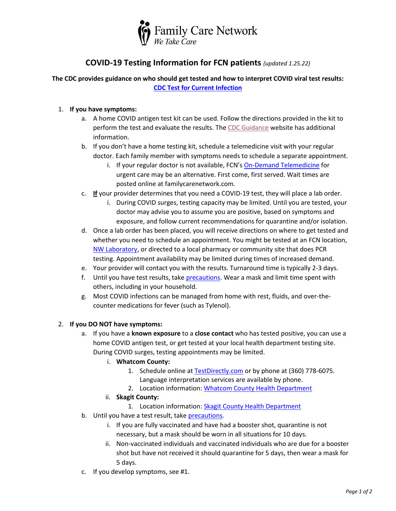

## **COVID-19 Testing Information for FCN patients** *(updated 1.25.22)*

**The CDC provides guidance on who should get tested and how to interpret COVID viral test results: [CDC Test for Current Infection](https://www.cdc.gov/coronavirus/2019-ncov/testing/diagnostic-testing.html)**

## 1. **If you have symptoms:**

- a. A home COVID antigen test kit can be used. Follow the directions provided in the kit to perform the test and evaluate the results. Th[e CDC Guidance](https://www.cdc.gov/coronavirus/2019-ncov/lab/resources/antigen-tests-guidelines.html#anchor_1631295290762) website has additional information.
- b. If you don't have a home testing kit, schedule a telemedicine visit with your regular doctor. Each family member with symptoms needs to schedule a separate appointment.
	- i. If your regular doctor is not available, FCN's [On-Demand Telemedicine](https://www.familycarenetwork.com/telemedicine-start) for urgent care may be an alternative. First come, first served. Wait times are posted online at familycarenetwork.com.
- c. **If** your provider determines that you need a COVID-19 test, they will place a lab order.
	- i. During COVID surges, testing capacity may be limited. Until you are tested, your doctor may advise you to assume you are positive, based on symptoms and exposure, and follow current recommendations for quarantine and/or isolation.
- d. Once a lab order has been placed, you will receive directions on where to get tested and whether you need to schedule an appointment. You might be tested at an FCN location, [NW Laboratory,](file:///C:/Users/manderson1/AppData/Local/Microsoft/Windows/INetCache/Content.Outlook/C1WB256C/nwlcovidappointment.as.me) or directed to a local pharmacy or community site that does PCR testing. Appointment availability may be limited during times of increased demand.
- e. Your provider will contact you with the results. Turnaround time is typically 2-3 days.
- f. Until you have test results, take [precautions.](https://www.cdc.gov/coronavirus/2019-ncov/prevent-getting-sick/prevention.html) Wear a mask and limit time spent with others, including in your household.
- g. Most COVID infections can be managed from home with rest, fluids, and over-thecounter medications for fever (such as Tylenol).

## 2. **If you DO NOT have symptoms:**

- a. If you have a **known exposure** to a **close contact** who has tested positive, you can use a home COVID antigen test, or get tested at your local health department testing site. During COVID surges, testing appointments may be limited.
	- i. **Whatcom County:** 
		- 1. Schedule online at [TestDirectly.com](https://www.testdirectly.com/whatcom) or by phone at (360) 778-6075. Language interpretation services are available by phone.
		- 2. Location information: [Whatcom County Health Department](https://www.whatcomcounty.us/3388/COVID-19-Testing)
	- ii. **Skagit County:** 
		- 1. Location information: [Skagit County Health Department](https://www.skagitcounty.net/Departments/HealthDiseases/coronavirus.htm)
- b. Until you have a test result, take [precautions.](https://www.cdc.gov/coronavirus/2019-ncov/prevent-getting-sick/prevention.html)
	- i. If you are fully vaccinated and have had a booster shot, quarantine is not necessary, but a mask should be worn in all situations for 10 days.
	- ii. Non-vaccinated individuals and vaccinated individuals who are due for a booster shot but have not received it should quarantine for 5 days, then wear a mask for 5 days.
- c. If you develop symptoms, see #1.